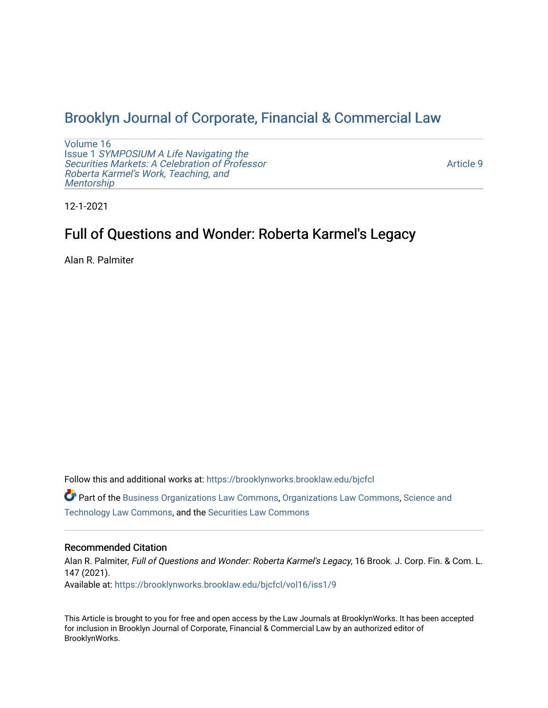# [Brooklyn Journal of Corporate, Financial & Commercial Law](https://brooklynworks.brooklaw.edu/bjcfcl)

[Volume 16](https://brooklynworks.brooklaw.edu/bjcfcl/vol16) Issue 1 [SYMPOSIUM A Life Navigating the](https://brooklynworks.brooklaw.edu/bjcfcl/vol16/iss1) [Securities Markets: A Celebration of Professor](https://brooklynworks.brooklaw.edu/bjcfcl/vol16/iss1) [Roberta Karmel's Work, Teaching, and](https://brooklynworks.brooklaw.edu/bjcfcl/vol16/iss1)  **Mentorship** 

[Article 9](https://brooklynworks.brooklaw.edu/bjcfcl/vol16/iss1/9) 

12-1-2021

# Full of Questions and Wonder: Roberta Karmel's Legacy

Alan R. Palmiter

Follow this and additional works at: [https://brooklynworks.brooklaw.edu/bjcfcl](https://brooklynworks.brooklaw.edu/bjcfcl?utm_source=brooklynworks.brooklaw.edu%2Fbjcfcl%2Fvol16%2Fiss1%2F9&utm_medium=PDF&utm_campaign=PDFCoverPages)

Part of the [Business Organizations Law Commons](http://network.bepress.com/hgg/discipline/900?utm_source=brooklynworks.brooklaw.edu%2Fbjcfcl%2Fvol16%2Fiss1%2F9&utm_medium=PDF&utm_campaign=PDFCoverPages), [Organizations Law Commons,](http://network.bepress.com/hgg/discipline/865?utm_source=brooklynworks.brooklaw.edu%2Fbjcfcl%2Fvol16%2Fiss1%2F9&utm_medium=PDF&utm_campaign=PDFCoverPages) [Science and](http://network.bepress.com/hgg/discipline/875?utm_source=brooklynworks.brooklaw.edu%2Fbjcfcl%2Fvol16%2Fiss1%2F9&utm_medium=PDF&utm_campaign=PDFCoverPages) [Technology Law Commons,](http://network.bepress.com/hgg/discipline/875?utm_source=brooklynworks.brooklaw.edu%2Fbjcfcl%2Fvol16%2Fiss1%2F9&utm_medium=PDF&utm_campaign=PDFCoverPages) and the [Securities Law Commons](http://network.bepress.com/hgg/discipline/619?utm_source=brooklynworks.brooklaw.edu%2Fbjcfcl%2Fvol16%2Fiss1%2F9&utm_medium=PDF&utm_campaign=PDFCoverPages) 

# Recommended Citation

Alan R. Palmiter, Full of Questions and Wonder: Roberta Karmel's Legacy, 16 Brook. J. Corp. Fin. & Com. L. 147 (2021). Available at: [https://brooklynworks.brooklaw.edu/bjcfcl/vol16/iss1/9](https://brooklynworks.brooklaw.edu/bjcfcl/vol16/iss1/9?utm_source=brooklynworks.brooklaw.edu%2Fbjcfcl%2Fvol16%2Fiss1%2F9&utm_medium=PDF&utm_campaign=PDFCoverPages)

This Article is brought to you for free and open access by the Law Journals at BrooklynWorks. It has been accepted for inclusion in Brooklyn Journal of Corporate, Financial & Commercial Law by an authorized editor of BrooklynWorks.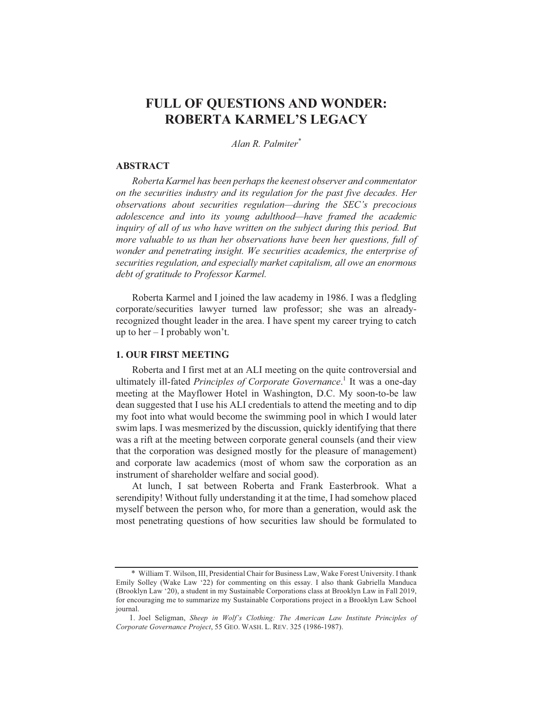# FULL OF QUESTIONS AND WONDER: **ROBERTA KARMEL'S LEGACY**

Alan R. Palmiter\*

### **ABSTRACT**

Roberta Karmel has been perhaps the keenest observer and commentator on the securities industry and its regulation for the past five decades. Her observations about securities regulation—during the SEC's precocious adolescence and into its young adulthood—have framed the academic inquiry of all of us who have written on the subject during this period. But more valuable to us than her observations have been her questions, full of wonder and penetrating insight. We securities academics, the enterprise of securities regulation, and especially market capitalism, all owe an enormous debt of gratitude to Professor Karmel.

Roberta Karmel and I joined the law academy in 1986. I was a fledgling corporate/securities lawyer turned law professor; she was an alreadyrecognized thought leader in the area. I have spent my career trying to catch up to her  $-1$  probably won't.

## **1. OUR FIRST MEETING**

Roberta and I first met at an ALI meeting on the quite controversial and ultimately ill-fated *Principles of Corporate Governance*.<sup>1</sup> It was a one-day meeting at the Mayflower Hotel in Washington, D.C. My soon-to-be law dean suggested that I use his ALI credentials to attend the meeting and to dip my foot into what would become the swimming pool in which I would later swim laps. I was mesmerized by the discussion, quickly identifying that there was a rift at the meeting between corporate general counsels (and their view that the corporation was designed mostly for the pleasure of management) and corporate law academics (most of whom saw the corporation as an instrument of shareholder welfare and social good).

At lunch, I sat between Roberta and Frank Easterbrook. What a serendipity! Without fully understanding it at the time, I had somehow placed myself between the person who, for more than a generation, would ask the most penetrating questions of how securities law should be formulated to

<sup>\*</sup> William T. Wilson, III, Presidential Chair for Business Law, Wake Forest University. I thank Emily Solley (Wake Law '22) for commenting on this essay. I also thank Gabriella Manduca (Brooklyn Law '20), a student in my Sustainable Corporations class at Brooklyn Law in Fall 2019, for encouraging me to summarize my Sustainable Corporations project in a Brooklyn Law School journal.

<sup>1.</sup> Joel Seligman, Sheep in Wolf's Clothing: The American Law Institute Principles of Corporate Governance Project, 55 GEO. WASH. L. REV. 325 (1986-1987).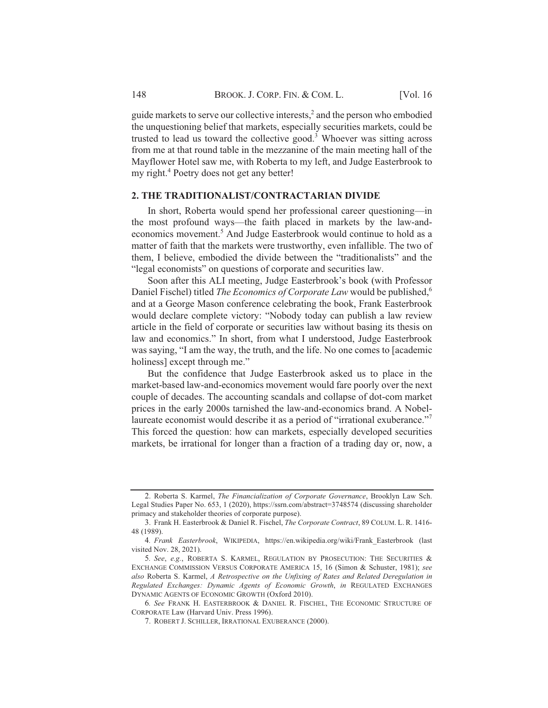guide markets to serve our collective interests, and the person who embodied the unquestioning belief that markets, especially securities markets, could be trusted to lead us toward the collective good.<sup>3</sup> Whoever was sitting across from me at that round table in the mezzanine of the main meeting hall of the Mayflower Hotel saw me, with Roberta to my left, and Judge Easterbrook to my right.<sup>4</sup> Poetry does not get any better!

# 2. THE TRADITIONALIST/CONTRACTARIAN DIVIDE

In short, Roberta would spend her professional career questioning—in the most profound ways—the faith placed in markets by the law-andeconomics movement.<sup>5</sup> And Judge Easterbrook would continue to hold as a matter of faith that the markets were trustworthy, even infallible. The two of them, I believe, embodied the divide between the "traditionalists" and the "legal economists" on questions of corporate and securities law.

Soon after this ALI meeting, Judge Easterbrook's book (with Professor Daniel Fischel) titled *The Economics of Corporate Law* would be published,<sup>6</sup> and at a George Mason conference celebrating the book, Frank Easterbrook would declare complete victory: "Nobody today can publish a law review article in the field of corporate or securities law without basing its thesis on law and economics." In short, from what I understood, Judge Easterbrook was saying, "I am the way, the truth, and the life. No one comes to [academic holiness] except through me."

But the confidence that Judge Easterbrook asked us to place in the market-based law-and-economics movement would fare poorly over the next couple of decades. The accounting scandals and collapse of dot-com market prices in the early 2000s tarnished the law-and-economics brand. A Nobellaureate economist would describe it as a period of "irrational exuberance."<sup>7</sup> This forced the question: how can markets, especially developed securities markets, be irrational for longer than a fraction of a trading day or, now, a

<sup>2.</sup> Roberta S. Karmel, *The Financialization of Corporate Governance*, Brooklyn Law Sch. Legal Studies Paper No. 653, 1 (2020), https://ssrn.com/abstract=3748574 (discussing shareholder primacy and stakeholder theories of corporate purpose).

<sup>3.</sup> Frank H. Easterbrook & Daniel R. Fischel. *The Corporate Contract*, 89 COLUM, L. R. 1416-48 (1989).

<sup>4.</sup> Frank Easterbrook, WIKIPEDIA, https://en.wikipedia.org/wiki/Frank Easterbrook (last visited Nov. 28, 2021).

<sup>5.</sup> See, e.g., ROBERTA S. KARMEL, REGULATION BY PROSECUTION: THE SECURITIES & EXCHANGE COMMISSION VERSUS CORPORATE AMERICA 15, 16 (Simon & Schuster, 1981); see also Roberta S. Karmel, A Retrospective on the Unfixing of Rates and Related Deregulation in Regulated Exchanges: Dynamic Agents of Economic Growth, in REGULATED EXCHANGES DYNAMIC AGENTS OF ECONOMIC GROWTH (Oxford 2010).

<sup>6.</sup> See FRANK H. EASTERBROOK & DANIEL R. FISCHEL, THE ECONOMIC STRUCTURE OF CORPORATE Law (Harvard Univ. Press 1996).

<sup>7.</sup> ROBERT J. SCHILLER, IRRATIONAL EXUBERANCE (2000).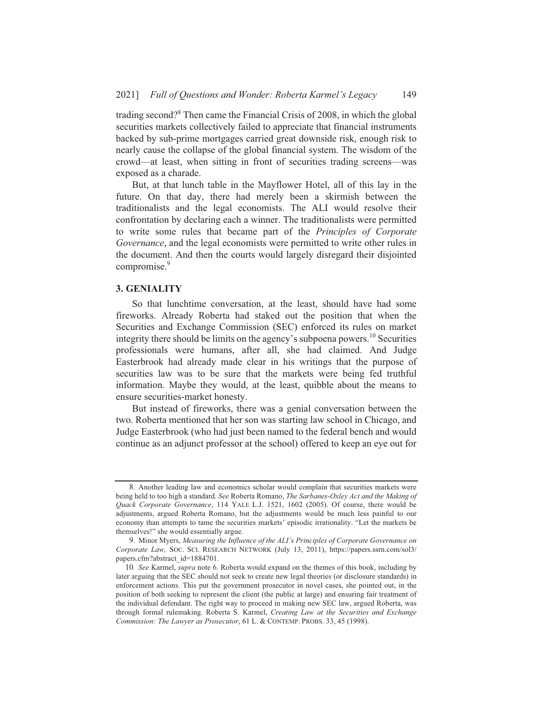trading second?<sup>8</sup> Then came the Financial Crisis of 2008, in which the global securities markets collectively failed to appreciate that financial instruments backed by sub-prime mortgages carried great downside risk, enough risk to nearly cause the collapse of the global financial system. The wisdom of the crowd—at least, when sitting in front of securities trading screens—was exposed as a charade.

But, at that lunch table in the Mayflower Hotel, all of this lay in the future. On that day, there had merely been a skirmish between the traditionalists and the legal economists. The ALI would resolve their confrontation by declaring each a winner. The traditionalists were permitted to write some rules that became part of the Principles of Corporate *Governance*, and the legal economists were permitted to write other rules in the document. And then the courts would largely disregard their disjointed compromise.<sup>9</sup>

### **3. GENIALITY**

So that lunchtime conversation, at the least, should have had some fireworks. Already Roberta had staked out the position that when the Securities and Exchange Commission (SEC) enforced its rules on market integrity there should be limits on the agency's subpoena powers.<sup>10</sup> Securities professionals were humans, after all, she had claimed. And Judge Easterbrook had already made clear in his writings that the purpose of securities law was to be sure that the markets were being fed truthful information. Maybe they would, at the least, quibble about the means to ensure securities-market honesty.

But instead of fireworks, there was a genial conversation between the two. Roberta mentioned that her son was starting law school in Chicago, and Judge Easterbrook (who had just been named to the federal bench and would continue as an adjunct professor at the school) offered to keep an eye out for

<sup>8.</sup> Another leading law and economics scholar would complain that securities markets were being held to too high a standard. See Roberta Romano, The Sarbanes-Oxley Act and the Making of Quack Corporate Governance, 114 YALE L.J. 1521, 1602 (2005). Of course, there would be adjustments, argued Roberta Romano, but the adjustments would be much less painful to our economy than attempts to tame the securities markets' episodic irrationality. "Let the markets be themselves!" she would essentially argue.

<sup>9.</sup> Minor Myers, Measuring the Influence of the ALI's Principles of Corporate Governance on Corporate Law, SOC. SCI. RESEARCH NETWORK (July 13, 2011), https://papers.ssrn.com/sol3/ papers.cfm?abstract\_id=1884701.

<sup>10.</sup> See Karmel, supra note 6. Roberta would expand on the themes of this book, including by later arguing that the SEC should not seek to create new legal theories (or disclosure standards) in enforcement actions. This put the government prosecutor in novel cases, she pointed out, in the position of both seeking to represent the client (the public at large) and ensuring fair treatment of the individual defendant. The right way to proceed in making new SEC law, argued Roberta, was through formal rulemaking. Roberta S. Karmel, Creating Law at the Securities and Exchange Commission: The Lawyer as Prosecutor, 61 L. & CONTEMP. PROBS. 33, 45 (1998).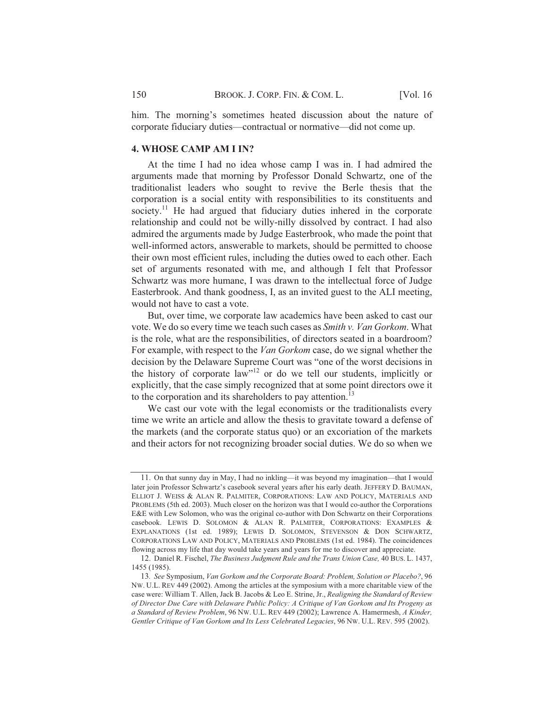him. The morning's sometimes heated discussion about the nature of corporate fiduciary duties—contractual or normative—did not come up.

# **4. WHOSE CAMP AM I IN?**

At the time I had no idea whose camp I was in. I had admired the arguments made that morning by Professor Donald Schwartz, one of the traditionalist leaders who sought to revive the Berle thesis that the corporation is a social entity with responsibilities to its constituents and society.<sup>11</sup> He had argued that fiduciary duties inhered in the corporate relationship and could not be willy-nilly dissolved by contract. I had also admired the arguments made by Judge Easterbrook, who made the point that well-informed actors, answerable to markets, should be permitted to choose their own most efficient rules, including the duties owed to each other. Each set of arguments resonated with me, and although I felt that Professor Schwartz was more humane, I was drawn to the intellectual force of Judge Easterbrook. And thank goodness, I, as an invited guest to the ALI meeting, would not have to cast a vote.

But, over time, we corporate law academics have been asked to cast our vote. We do so every time we teach such cases as *Smith v. Van Gorkom*. What is the role, what are the responsibilities, of directors seated in a boardroom? For example, with respect to the *Van Gorkom* case, do we signal whether the decision by the Delaware Supreme Court was "one of the worst decisions in the history of corporate law"<sup>12</sup> or do we tell our students, implicitly or explicitly, that the case simply recognized that at some point directors owe it to the corporation and its shareholders to pay attention.<sup>13</sup>

We cast our vote with the legal economists or the traditionalists every time we write an article and allow the thesis to gravitate toward a defense of the markets (and the corporate status quo) or an excoriation of the markets and their actors for not recognizing broader social duties. We do so when we

 $11$ . On that sunny day in May, I had no inkling—it was beyond my imagination—that I would later ioin Professor Schwartz's casebook several years after his early death. JEFFERY D. BAUMAN, ELLIOT J. WEISS & ALAN R. PALMITER, CORPORATIONS: LAW AND POLICY, MATERIALS AND PROBLEMS (5th ed. 2003). Much closer on the horizon was that I would co-author the Corporations  $E\&E$  with Lew Solomon, who was the original co-author with Don Schwartz on their Corporations casebook. LEWIS D. SOLOMON & ALAN R. PALMITER. CORPORATIONS: EXAMPLES & EXPLANATIONS (1st ed. 1989); LEWIS D. SOLOMON, STEVENSON & DON SCHWARTZ. CORPORATIONS LAW AND POLICY, MATERIALS AND PROBLEMS (1st ed. 1984). The coincidences flowing across my life that day would take years and years for me to discover and appreciate.

<sup>12.</sup> Daniel R. Fischel, *The Business Judgment Rule and the Trans Union Case*, 40 BUS. L. 1437, 1455 (1985).

<sup>13.</sup> See Symposium, Van Gorkom and the Corporate Board: Problem, Solution or Placebo?, 96 Nw. U.L. REV 449 (2002). Among the articles at the symposium with a more charitable view of the  $\alpha$  case were: William T. Allen, Jack B. Jacobs & Leo E. Strine, Jr., *Realigning the Standard of Review* of Director Due Care with Delaware Public Policy: A Critiaue of Van Gorkom and Its Progeny as a Standard of Review Problem, 96 NW. U.L. REV 449 (2002); Lawrence A. Hamermesh, A Kinder, Gentler Critiaue of Van Gorkom and Its Less Celebrated Legacies, 96 Nw. U.L. REV, 595 (2002).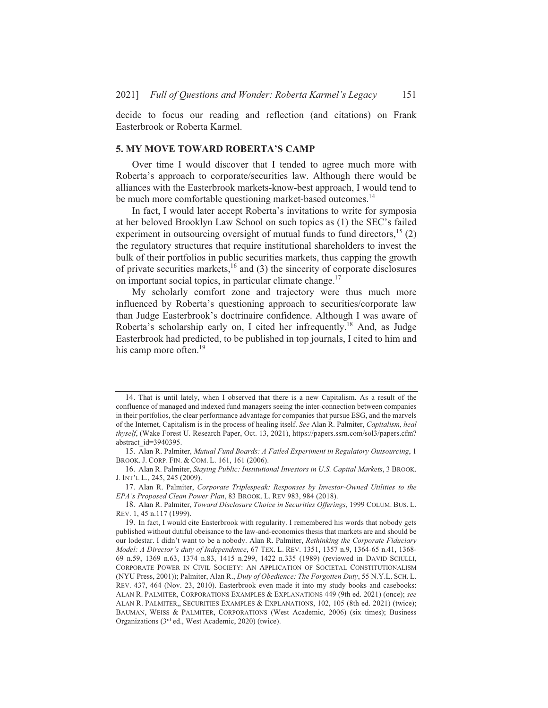decide to focus our reading and reflection (and citations) on Frank Easterbrook or Roberta Karmel.

### **5. MY MOVE TOWARD ROBERTA'S CAMP**

Over time I would discover that I tended to agree much more with Roberta's approach to corporate/securities law. Although there would be alliances with the Easterbrook markets-know-best approach, I would tend to be much more comfortable questioning market-based outcomes.<sup>14</sup>

In fact, I would later accept Roberta's invitations to write for symposia at her beloved Brooklyn Law School on such topics as (1) the SEC's failed experiment in outsourcing oversight of mutual funds to fund directors.<sup>15</sup> (2) the regulatory structures that require institutional shareholders to invest the bulk of their portfolios in public securities markets, thus capping the growth of private securities markets,  $^{16}$  and (3) the sincerity of corporate disclosures on important social topics, in particular climate change.<sup>17</sup>

My scholarly comfort zone and trajectory were thus much more influenced by Roberta's questioning approach to securities/corporate law than Judge Easterbrook's doctrinaire confidence. Although I was aware of Roberta's scholarship early on, I cited her infrequently.<sup>18</sup> And, as Judge Easterbrook had predicted, to be published in top journals, I cited to him and his camp more often.<sup>19</sup>

<sup>14.</sup> That is until lately, when I observed that there is a new Capitalism. As a result of the confluence of managed and indexed fund managers seeing the inter-connection between companies in their portfolios, the clear performance advantage for companies that pursue ESG, and the marvels of the Internet, Capitalism is in the process of healing itself. See Alan R. Palmiter, Capitalism, heal thyself, (Wake Forest U. Research Paper, Oct. 13, 2021), https://papers.ssrn.com/sol3/papers.cfm? abstract id=3940395.

<sup>15.</sup> Alan R. Palmiter, Mutual Fund Boards: A Failed Experiment in Regulatory Outsourcing, 1 BROOK. J. CORP. FIN. & COM. L. 161, 161 (2006).

<sup>16.</sup> Alan R. Palmiter, Staying Public: Institutional Investors in U.S. Capital Markets, 3 BROOK. J. INT'L L., 245, 245 (2009).

<sup>17.</sup> Alan R. Palmiter, Corporate Triplespeak: Responses by Investor-Owned Utilities to the EPA's Proposed Clean Power Plan, 83 BROOK. L. REV 983, 984 (2018).

<sup>18.</sup> Alan R. Palmiter, Toward Disclosure Choice in Securities Offerings, 1999 COLUM. BUS. L. REV. 1, 45 n.117 (1999).

<sup>19.</sup> In fact, I would cite Easterbrook with regularity. I remembered his words that nobody gets published without dutiful obeisance to the law-and-economics thesis that markets are and should be our lodestar. I didn't want to be a nobody. Alan R. Palmiter, Rethinking the Corporate Fiduciary Model: A Director's duty of Independence, 67 TEX. L. REV. 1351, 1357 n.9, 1364-65 n.41, 1368-69 n.59, 1369 n.63, 1374 n.83, 1415 n.299, 1422 n.335 (1989) (reviewed in DAVID SCIULLI, CORPORATE POWER IN CIVIL SOCIETY: AN APPLICATION OF SOCIETAL CONSTITUTIONALISM (NYU Press, 2001)); Palmiter, Alan R., Duty of Obedience: The Forgotten Duty, 55 N.Y.L. SCH. L. REV. 437, 464 (Nov. 23, 2010). Easterbrook even made it into my study books and casebooks: ALAN R. PALMITER, CORPORATIONS EXAMPLES & EXPLANATIONS 449 (9th ed. 2021) (once); see ALAN R. PALMITER,, SECURITIES EXAMPLES & EXPLANATIONS, 102, 105 (8th ed. 2021) (twice); BAUMAN, WEISS & PALMITER, CORPORATIONS (West Academic, 2006) (six times); Business Organizations (3<sup>rd</sup> ed., West Academic, 2020) (twice).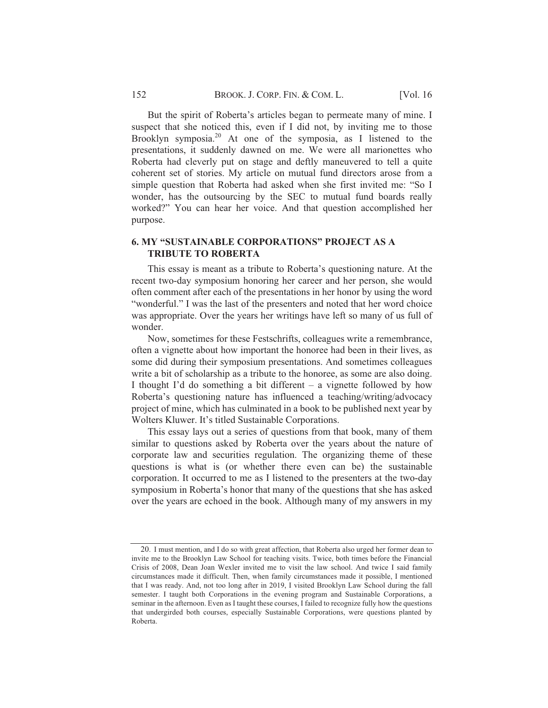But the spirit of Roberta's articles began to permeate many of mine. I suspect that she noticed this, even if I did not, by inviting me to those Brooklyn symposia.<sup>20</sup> At one of the symposia, as I listened to the presentations, it suddenly dawned on me. We were all marionettes who Roberta had cleverly put on stage and deftly maneuvered to tell a quite coherent set of stories. My article on mutual fund directors arose from a simple question that Roberta had asked when she first invited me: "So I wonder, has the outsourcing by the SEC to mutual fund boards really worked?" You can hear her voice. And that question accomplished her purpose.

# 6. MY "SUSTAINABLE CORPORATIONS" PROJECT AS A **TRIBUTE TO ROBERTA**

This essay is meant as a tribute to Roberta's questioning nature. At the recent two-day symposium honoring her career and her person, she would often comment after each of the presentations in her honor by using the word "wonderful." I was the last of the presenters and noted that her word choice was appropriate. Over the years her writings have left so many of us full of wonder.

Now, sometimes for these Festschrifts, colleagues write a remembrance, often a vignette about how important the honoree had been in their lives, as some did during their symposium presentations. And sometimes colleagues write a bit of scholarship as a tribute to the honoree, as some are also doing. I thought I'd do something a bit different  $-$  a vignette followed by how Roberta's questioning nature has influenced a teaching/writing/advocacy project of mine, which has culminated in a book to be published next year by wolters Kluwer. It's titled Sustainable Corporations.

This essay lays out a series of questions from that book, many of them similar to questions asked by Roberta over the years about the nature of corporate law and securities regulation. The organizing theme of these questions is what is (or whether there even can be) the sustainable corporation. It occurred to me as I listened to the presenters at the two-day symposium in Roberta's honor that many of the questions that she has asked over the years are echoed in the book. Although many of my answers in my

 $20$ . I must mention, and I do so with great affection, that Roberta also urged her former dean to invite me to the Brooklyn Law School for teaching visits. Twice, both times before the Financial Crisis of 2008. Dean Joan Wexler invited me to visit the law school. And twice I said family  $c$  incumstances made it difficult. Then, when family circumstances made it possible. I mentioned that I was ready. And, not too long after in 2019, I visited Brooklyn Law School during the fall semester. I taught both Corporations in the evening program and Sustainable Corporations, a seminar in the afternoon. Even as I taught these courses, I failed to recognize fully how the questions that undergirded both courses, especially Sustainable Corporations, were questions planted by Roberta.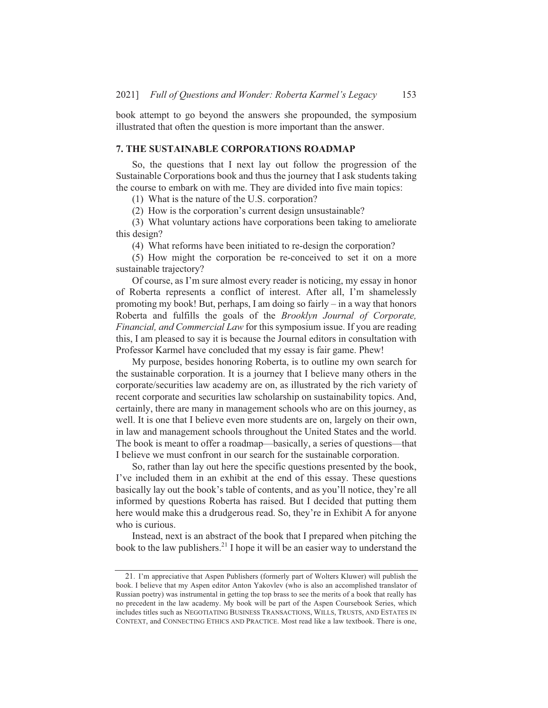book attempt to go beyond the answers she propounded, the symposium illustrated that often the question is more important than the answer.

### **7. THE SUSTAINABLE CORPORATIONS ROADMAP**

So, the questions that I next lay out follow the progression of the Sustainable Corporations book and thus the journey that I ask students taking the course to embark on with me. They are divided into five main topics:

(1) What is the nature of the U.S. corporation?

(2) How is the corporation's current design unsustainable?

(3) What voluntary actions have corporations been taking to ameliorate this design?

(4) What reforms have been initiated to re-design the corporation?

(5) How might the corporation be re-conceived to set it on a more sustainable trajectory?

Of course, as I'm sure almost every reader is noticing, my essay in honor of Roberta represents a conflict of interest. After all, I'm shamelessly promoting my book! But, perhaps, I am doing so fairly  $-$  in a way that honors Roberta and fulfills the goals of the Brooklyn Journal of Corporate, *Financial, and Commercial Law* for this symposium issue. If you are reading this, I am pleased to say it is because the Journal editors in consultation with Professor Karmel have concluded that my essay is fair game. Phew!

My purpose, besides honoring Roberta, is to outline my own search for the sustainable corporation. It is a journey that I believe many others in the corporate/securities law academy are on, as illustrated by the rich variety of recent corporate and securities law scholarship on sustainability topics. And, certainly, there are many in management schools who are on this journey, as well. It is one that I believe even more students are on, largely on their own, in law and management schools throughout the United States and the world. The book is meant to offer a roadmap—basically, a series of questions—that I believe we must confront in our search for the sustainable corporation.

So, rather than lay out here the specific questions presented by the book, I've included them in an exhibit at the end of this essay. These questions basically lay out the book's table of contents, and as you'll notice, they're all informed by questions Roberta has raised. But I decided that putting them here would make this a drudgerous read. So, they're in Exhibit A for anyone who is curious.

Instead, next is an abstract of the book that I prepared when pitching the book to the law publishers.<sup>21</sup> I hope it will be an easier way to understand the

<sup>21.</sup> I'm appreciative that Aspen Publishers (formerly part of Wolters Kluwer) will publish the book. I believe that my Aspen editor Anton Yakovlev (who is also an accomplished translator of Russian poetry) was instrumental in getting the top brass to see the merits of a book that really has no precedent in the law academy. My book will be part of the Aspen Coursebook Series, which includes titles such as NEGOTIATING BUSINESS TRANSACTIONS, WILLS, TRUSTS, AND ESTATES IN CONTEXT, and CONNECTING ETHICS AND PRACTICE. Most read like a law textbook. There is one,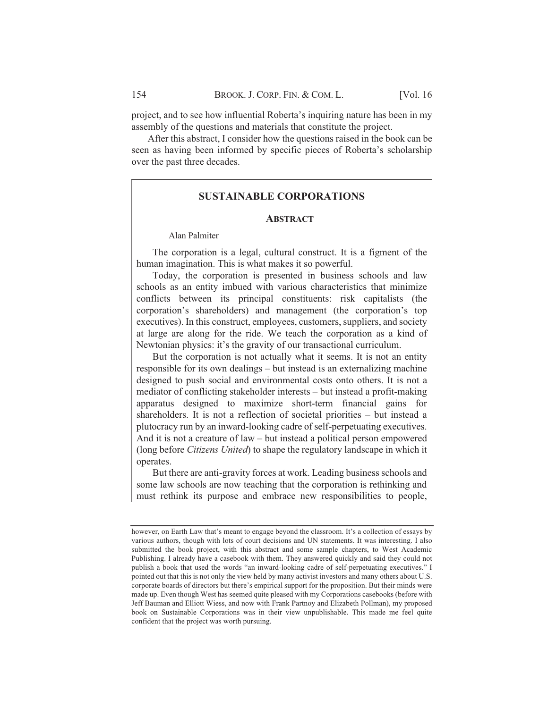project, and to see how influential Roberta's inquiring nature has been in my assembly of the questions and materials that constitute the project.

After this abstract, I consider how the questions raised in the book can be seen as having been informed by specific pieces of Roberta's scholarship over the past three decades.

# **SUSTAINABLE CORPORATIONS**

#### **ABSTRACT**

## **Alan Palmiter**

The corporation is a legal, cultural construct. It is a figment of the human imagination. This is what makes it so powerful.

Today, the corporation is presented in business schools and law schools as an entity imbued with various characteristics that minimize conflicts between its principal constituents: risk capitalists (the corporation's shareholders) and management (the corporation's top executives). In this construct, employees, customers, suppliers, and society at large are along for the ride. We teach the corporation as a kind of Newtonian physics: it's the gravity of our transactional curriculum.

But the corporation is not actually what it seems. It is not an entity responsible for its own dealings – but instead is an externalizing machine designed to push social and environmental costs onto others. It is not a mediator of conflicting stakeholder interests – but instead a profit-making apparatus designed to maximize short-term financial gains for shareholders. It is not a reflection of societal priorities – but instead a plutocracy run by an inward-looking cadre of self-perpetuating executives. And it is not a creature of law – but instead a political person empowered (long before *Citizens United*) to shape the regulatory landscape in which it operates.

But there are anti-gravity forces at work. Leading business schools and some law schools are now teaching that the corporation is rethinking and must rethink its purpose and embrace new responsibilities to people,

however, on Earth Law that's meant to engage beyond the classroom. It's a collection of essays by various authors, though with lots of court decisions and UN statements. It was interesting. I also submitted the book project, with this abstract and some sample chapters, to West Academic Publishing. I already have a casebook with them. They answered quickly and said they could not publish a book that used the words "an inward-looking cadre of self-perpetuating executives." I pointed out that this is not only the view held by many activist investors and many others about U.S. corporate boards of directors but there's empirical support for the proposition. But their minds were made up. Even though West has seemed quite pleased with my Corporations casebooks (before with Jeff Bauman and Elliott Wiess, and now with Frank Partnoy and Elizabeth Pollman), my proposed book on Sustainable Corporations was in their view unpublishable. This made me feel quite confident that the project was worth pursuing.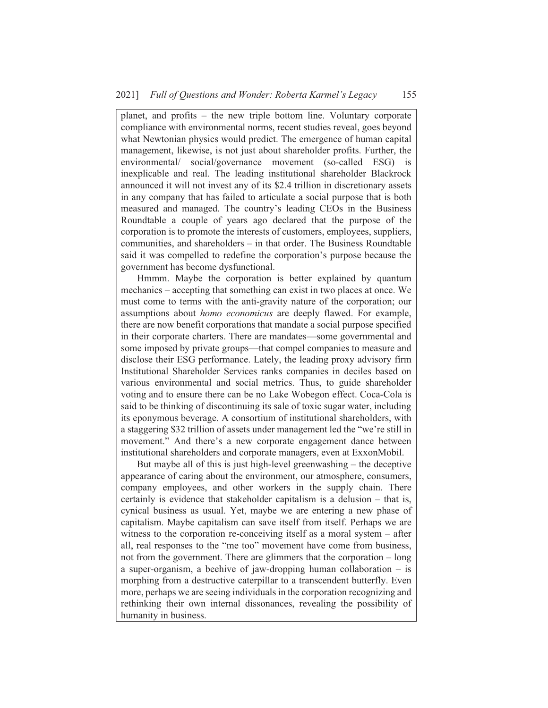planet, and profits – the new triple bottom line. Voluntary corporate compliance with environmental norms, recent studies reveal, goes beyond what Newtonian physics would predict. The emergence of human capital management, likewise, is not just about shareholder profits. Further, the environmental/ social/governance movement (so-called ESG) is inexplicable and real. The leading institutional shareholder Blackrock announced it will not invest any of its \$2.4 trillion in discretionary assets in any company that has failed to articulate a social purpose that is both measured and managed. The country's leading CEOs in the Business Roundtable a couple of years ago declared that the purpose of the corporation is to promote the interests of customers, employees, suppliers, communities, and shareholders  $-$  in that order. The Business Roundtable said it was compelled to redefine the corporation's purpose because the government has become dysfunctional.

Hmmm. Maybe the corporation is better explained by quantum mechanics – accepting that something can exist in two places at once. We must come to terms with the anti-gravity nature of the corporation; our assumptions about *homo economicus* are deeply flawed. For example, there are now benefit corporations that mandate a social purpose specified in their corporate charters. There are mandates—some governmental and some imposed by private groups—that compel companies to measure and disclose their ESG performance. Lately, the leading proxy advisory firm Institutional Shareholder Services ranks companies in deciles based on various environmental and social metrics. Thus, to guide shareholder voting and to ensure there can be no Lake Wobegon effect. Coca-Cola is said to be thinking of discontinuing its sale of toxic sugar water, including its eponymous beverage. A consortium of institutional shareholders, with a staggering \$32 trillion of assets under management led the "we're still in movement." And there's a new corporate engagement dance between institutional shareholders and corporate managers, even at ExxonMobil.

But maybe all of this is just high-level greenwashing  $-$  the deceptive appearance of caring about the environment, our atmosphere, consumers, company employees, and other workers in the supply chain. There certainly is evidence that stakeholder capitalism is a delusion  $-$  that is, cynical business as usual. Yet, maybe we are entering a new phase of capitalism. Maybe capitalism can save itself from itself. Perhaps we are witness to the corporation re-conceiving itself as a moral system  $-$  after all, real responses to the "me too" movement have come from business, not from the government. There are glimmers that the corporation  $-$  long a super-organism, a beehive of jaw-dropping human collaboration  $-$  is morphing from a destructive caterpillar to a transcendent butterfly. Even more, perhaps we are seeing individuals in the corporation recognizing and rethinking their own internal dissonances, revealing the possibility of humanity in business.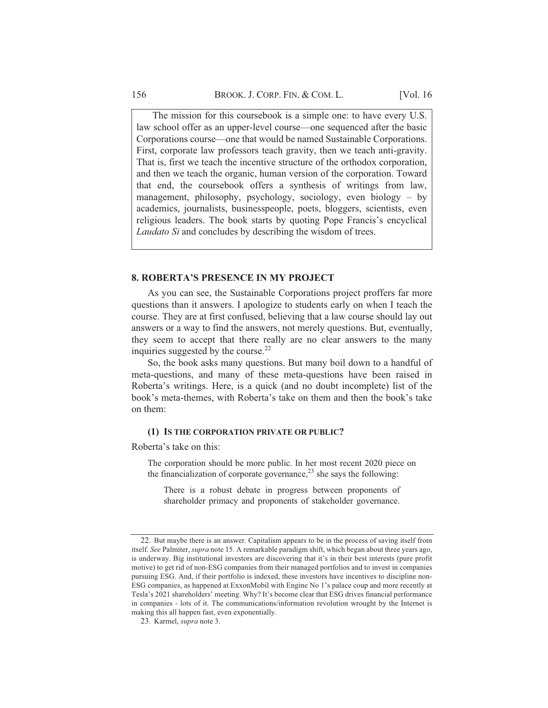The mission for this coursebook is a simple one: to have every U.S. law school offer as an upper-level course—one sequenced after the basic Corporations course—one that would be named Sustainable Corporations. First, corporate law professors teach gravity, then we teach anti-gravity. That is, first we teach the incentive structure of the orthodox corporation, and then we teach the organic, human version of the corporation. Toward that end, the coursebook offers a synthesis of writings from law, management, philosophy, psychology, sociology, even biology – by academics, journalists, businesspeople, poets, bloggers, scientists, even religious leaders. The book starts by quoting Pope Francis's encyclical Laudato Si and concludes by describing the wisdom of trees.

#### **8. ROBERTA'S PRESENCE IN MY PROJECT**

As you can see, the Sustainable Corporations project proffers far more questions than it answers. I apologize to students early on when I teach the course. They are at first confused, believing that a law course should lay out answers or a way to find the answers, not merely questions. But, eventually, they seem to accept that there really are no clear answers to the many inquiries suggested by the course.<sup>22</sup>

So, the book asks many questions. But many boil down to a handful of meta-questions, and many of these meta-questions have been raised in Roberta's writings. Here, is a quick (and no doubt incomplete) list of the book's meta-themes, with Roberta's take on them and then the book's take on them:

#### (1) IS THE CORPORATION PRIVATE OR PUBLIC?

Roberta's take on this:

The corporation should be more public. In her most recent 2020 piece on the financialization of corporate governance,  $^{23}$  she says the following:

There is a robust debate in progress between proponents of shareholder primacy and proponents of stakeholder governance.

<sup>22.</sup> But maybe there is an answer. Capitalism appears to be in the process of saving itself from itself. See Palmiter, *supra* note 15. A remarkable paradigm shift, which began about three years ago, is underway. Big institutional investors are discovering that it's in their best interests (pure profit motive) to get rid of non-ESG companies from their managed portfolios and to invest in companies pursuing ESG. And, if their portfolio is indexed, these investors have incentives to discipline non-ESG companies, as happened at ExxonMobil with Engine No 1's palace coup and more recently at Tesla's 2021 shareholders' meeting. Why? It's become clear that ESG drives financial performance in companies - lots of it. The communications/information revolution wrought by the Internet is making this all happen fast, even exponentially.

<sup>23.</sup> Karmel, supra note 3.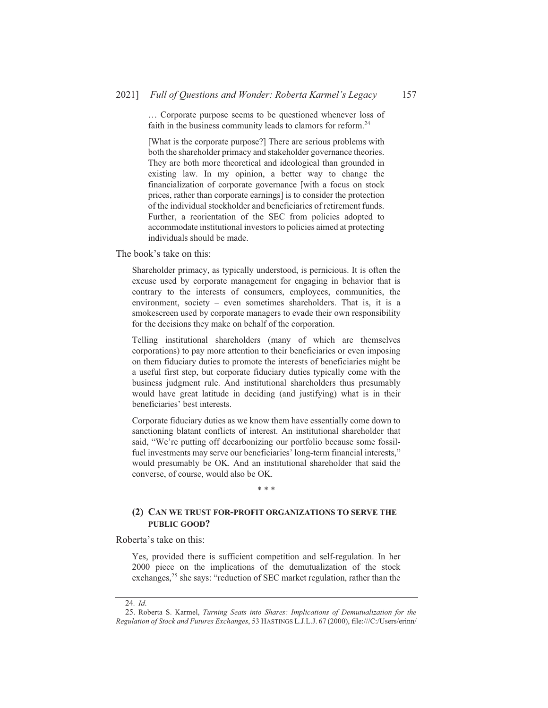... Corporate purpose seems to be questioned whenever loss of faith in the business community leads to clamors for reform.<sup>24</sup>

[What is the corporate purpose?] There are serious problems with both the shareholder primacy and stakeholder governance theories. They are both more theoretical and ideological than grounded in existing law. In my opinion, a better way to change the financialization of corporate governance [with a focus on stock] prices, rather than corporate earnings] is to consider the protection of the individual stockholder and beneficiaries of retirement funds. Further, a reorientation of the SEC from policies adopted to accommodate institutional investors to policies aimed at protecting individuals should be made.

The book's take on this.

Shareholder primacy, as typically understood, is pernicious. It is often the excuse used by corporate management for engaging in behavior that is contrary to the interests of consumers, employees, communities, the environment, society – even sometimes shareholders. That is, it is a smokescreen used by corporate managers to evade their own responsibility for the decisions they make on behalf of the corporation.

Telling institutional shareholders (many of which are themselves corporations) to pay more attention to their beneficiaries or even imposing on them fiduciary duties to promote the interests of beneficiaries might be a useful first step, but corporate fiduciary duties typically come with the business judgment rule. And institutional shareholders thus presumably would have great latitude in deciding (and justifying) what is in their beneficiaries' best interests.

Corporate fiduciary duties as we know them have essentially come down to sanctioning blatant conflicts of interest. An institutional shareholder that said, "We're putting off decarbonizing our portfolio because some fossilfuel investments may serve our beneficiaries' long-term financial interests," would presumably be OK. And an institutional shareholder that said the converse, of course, would also be OK.

#### \* \* \*

## (2) CAN WE TRUST FOR-PROFIT ORGANIZATIONS TO SERVE THE **PUBLIC GOOD?**

Roberta's take on this:

Yes, provided there is sufficient competition and self-regulation. In her 2000 piece on the implications of the demutualization of the stock exchanges,  $2<sup>5</sup>$  she says: "reduction of SEC market regulation, rather than the

 $\overline{24}$ . Id.

<sup>25.</sup> Roberta S. Karmel, Turning Seats into Shares: Implications of Demutualization for the Regulation of Stock and Futures Exchanges, 53 HASTINGS L.J.L.J. 67 (2000), file:///C:/Users/erinn/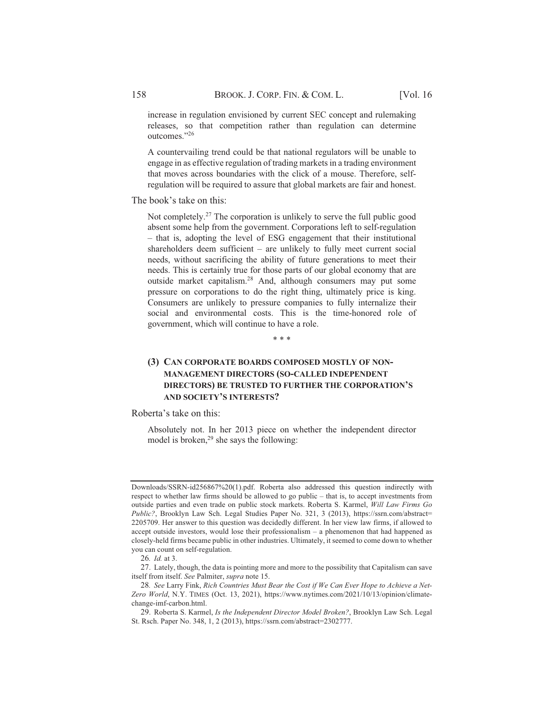increase in regulation envisioned by current SEC concept and rulemaking releases, so that competition rather than regulation can determine outcomes."26

A countervailing trend could be that national regulators will be unable to engage in as effective regulation of trading markets in a trading environment that moves across boundaries with the click of a mouse. Therefore, selfregulation will be required to assure that global markets are fair and honest.

The book's take on this:

Not completely.<sup>27</sup> The corporation is unlikely to serve the full public good absent some help from the government. Corporations left to self-regulation - that is, adopting the level of ESG engagement that their institutional shareholders deem sufficient  $-$  are unlikely to fully meet current social needs, without sacrificing the ability of future generations to meet their needs. This is certainly true for those parts of our global economy that are outside market capitalism.<sup>28</sup> And, although consumers may put some pressure on corporations to do the right thing, ultimately price is king. Consumers are unlikely to pressure companies to fully internalize their social and environmental costs. This is the time-honored role of government, which will continue to have a role.

\* \* \*

# (3) CAN CORPORATE BOARDS COMPOSED MOSTLY OF NON-MANAGEMENT DIRECTORS (SO-CALLED INDEPENDENT DIRECTORS) BE TRUSTED TO FURTHER THE CORPORATION'S AND SOCIETY'S INTERESTS?

Roberta's take on this:

Absolutely not. In her 2013 piece on whether the independent director model is broken, $29$  she says the following:

Downloads/SSRN-id256867%20(1).pdf. Roberta also addressed this question indirectly with respect to whether law firms should be allowed to go public – that is, to accept investments from outside parties and even trade on public stock markets. Roberta S. Karmel, Will Law Firms Go *Public?*, Brooklyn Law Sch. Legal Studies Paper No. 321, 3 (2013), https://ssrn.com/abstract= 2205709. Her answer to this question was decidedly different. In her view law firms, if allowed to accept outside investors, would lose their professionalism - a phenomenon that had happened as closely-held firms became public in other industries. Ultimately, it seemed to come down to whether you can count on self-regulation.

<sup>26.</sup> Id. at 3.

<sup>27.</sup> Lately, though, the data is pointing more and more to the possibility that Capitalism can save itself from itself. See Palmiter, supra note 15.

<sup>28.</sup> See Larry Fink, Rich Countries Must Bear the Cost if We Can Ever Hope to Achieve a Net-Zero World, N.Y. TIMES (Oct. 13, 2021), https://www.nytimes.com/2021/10/13/opinion/climatechange-imf-carbon.html.

<sup>29.</sup> Roberta S. Karmel, Is the Independent Director Model Broken?, Brooklyn Law Sch. Legal St. Rsch. Paper No. 348, 1, 2 (2013), https://ssrn.com/abstract=2302777.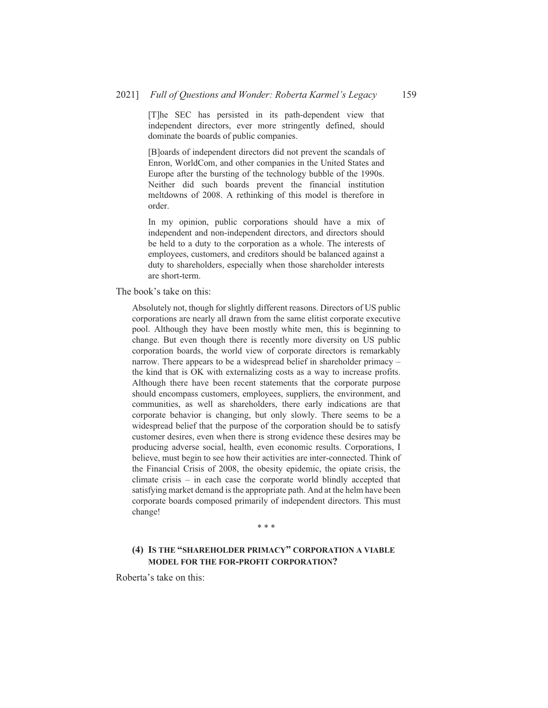[T]he SEC has persisted in its path-dependent view that independent directors, ever more stringently defined, should dominate the boards of public companies.

[B]oards of independent directors did not prevent the scandals of Enron, WorldCom, and other companies in the United States and Europe after the bursting of the technology bubble of the 1990s. Neither did such boards prevent the financial institution meltdowns of 2008. A rethinking of this model is therefore in order.

In my opinion, public corporations should have a mix of independent and non-independent directors, and directors should be held to a duty to the corporation as a whole. The interests of employees, customers, and creditors should be balanced against a duty to shareholders, especially when those shareholder interests are short-term.

The book's take on this:

Absolutely not, though for slightly different reasons. Directors of US public corporations are nearly all drawn from the same elitist corporate executive pool. Although they have been mostly white men, this is beginning to change. But even though there is recently more diversity on US public corporation boards, the world view of corporate directors is remarkably narrow. There appears to be a widespread belief in shareholder primacy – the kind that is OK with externalizing costs as a way to increase profits. Although there have been recent statements that the corporate purpose should encompass customers, employees, suppliers, the environment, and communities, as well as shareholders, there early indications are that corporate behavior is changing, but only slowly. There seems to be a widespread belief that the purpose of the corporation should be to satisfy customer desires, even when there is strong evidence these desires may be producing adverse social, health, even economic results. Corporations, I believe, must begin to see how their activities are inter-connected. Think of the Financial Crisis of 2008, the obesity epidemic, the opiate crisis, the climate crisis – in each case the corporate world blindly accepted that satisfying market demand is the appropriate path. And at the helm have been corporate boards composed primarily of independent directors. This must change!

#### \* \* \*

### (4) IS THE "SHAREHOLDER PRIMACY" CORPORATION A VIABLE MODEL FOR THE FOR-PROFIT CORPORATION?

Roberta's take on this: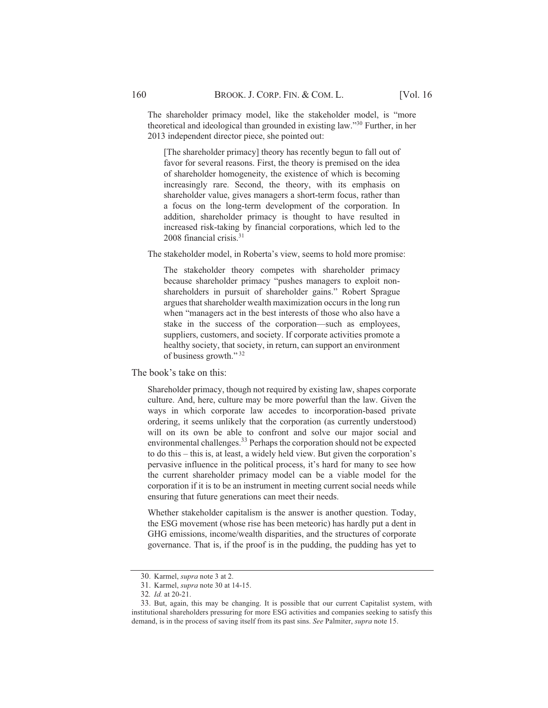The shareholder primacy model, like the stakeholder model, is "more theoretical and ideological than grounded in existing law."<sup>30</sup> Further, in her 2013 independent director piece, she pointed out:

[The shareholder primacy] theory has recently begun to fall out of favor for several reasons. First, the theory is premised on the idea of shareholder homogeneity, the existence of which is becoming increasingly rare. Second, the theory, with its emphasis on shareholder value, gives managers a short-term focus, rather than a focus on the long-term development of the corporation. In addition, shareholder primacy is thought to have resulted in increased risk-taking by financial corporations, which led to the 2008 financial crisis. $31$ 

The stakeholder model, in Roberta's view, seems to hold more promise:

The stakeholder theory competes with shareholder primacy because shareholder primacy "pushes managers to exploit nonshareholders in pursuit of shareholder gains." Robert Sprague argues that shareholder wealth maximization occurs in the long run when "managers act in the best interests of those who also have a stake in the success of the corporation—such as employees, suppliers, customers, and society. If corporate activities promote a healthy society, that society, in return, can support an environment of business growth."<sup>32</sup>

The book's take on this:

Shareholder primacy, though not required by existing law, shapes corporate culture. And, here, culture may be more powerful than the law. Given the ways in which corporate law accedes to incorporation-based private ordering, it seems unlikely that the corporation (as currently understood) will on its own be able to confront and solve our major social and environmental challenges.<sup>33</sup> Perhaps the corporation should not be expected to do this – this is, at least, a widely held view. But given the corporation's pervasive influence in the political process, it's hard for many to see how the current shareholder primacy model can be a viable model for the corporation if it is to be an instrument in meeting current social needs while ensuring that future generations can meet their needs.

Whether stakeholder capitalism is the answer is another question. Today, the ESG movement (whose rise has been meteoric) has hardly put a dent in GHG emissions, income/wealth disparities, and the structures of corporate governance. That is, if the proof is in the pudding, the pudding has yet to

<sup>30.</sup> Karmel, *supra* note 3 at 2.

<sup>31.</sup> Karmel, *supra* note 30 at 14-15.

<sup>32.</sup> Id. at 20-21.

<sup>33.</sup> But, again, this may be changing. It is possible that our current Capitalist system, with institutional shareholders pressuring for more ESG activities and companies seeking to satisfy this demand, is in the process of saving itself from its past sins. See Palmiter, *supra* note 15.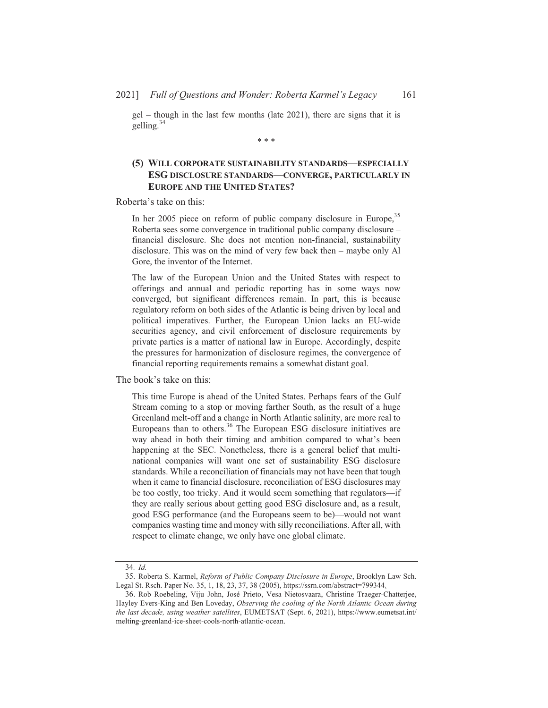$gel$  – though in the last few months (late 2021), there are signs that it is  $\text{gelling}^{34}$ 

 $* * *$ 

# (5) WILL CORPORATE SUSTAINABILITY STANDARDS-ESPECIALLY ESG DISCLOSURE STANDARDS-CONVERGE, PARTICULARLY IN **EUROPE AND THE UNITED STATES?**

Roberta's take on this:

In her 2005 piece on reform of public company disclosure in Europe,  $35$ Roberta sees some convergence in traditional public company disclosure – financial disclosure. She does not mention non-financial, sustainability disclosure. This was on the mind of very few back then – maybe only Al Gore, the inventor of the Internet.

The law of the European Union and the United States with respect to offerings and annual and periodic reporting has in some ways now converged, but significant differences remain. In part, this is because regulatory reform on both sides of the Atlantic is being driven by local and political imperatives. Further, the European Union lacks an EU-wide securities agency, and civil enforcement of disclosure requirements by private parties is a matter of national law in Europe. Accordingly, despite the pressures for harmonization of disclosure regimes, the convergence of financial reporting requirements remains a somewhat distant goal.

The book's take on this:

This time Europe is ahead of the United States. Perhaps fears of the Gulf Stream coming to a stop or moving farther South, as the result of a huge Greenland melt-off and a change in North Atlantic salinity, are more real to Europeans than to others.<sup>36</sup> The European ESG disclosure initiatives are way ahead in both their timing and ambition compared to what's been happening at the SEC. Nonetheless, there is a general belief that multinational companies will want one set of sustainability ESG disclosure standards. While a reconciliation of financials may not have been that tough when it came to financial disclosure, reconciliation of ESG disclosures may be too costly, too tricky. And it would seem something that regulators—if they are really serious about getting good ESG disclosure and, as a result, good ESG performance (and the Europeans seem to be)—would not want companies wasting time and money with silly reconciliations. After all, with respect to climate change, we only have one global climate.

<sup>34.</sup> Id.

<sup>35.</sup> Roberta S. Karmel, Reform of Public Company Disclosure in Europe, Brooklyn Law Sch. Legal St. Rsch. Paper No. 35, 1, 18, 23, 37, 38 (2005), https://ssrn.com/abstract=799344.

<sup>36.</sup> Rob Roebeling, Viju John, José Prieto, Vesa Nietosvaara, Christine Traeger-Chatterjee, Hayley Evers-King and Ben Loveday, Observing the cooling of the North Atlantic Ocean during the last decade, using weather satellites, EUMETSAT (Sept. 6, 2021), https://www.eumetsat.int/ melting-greenland-ice-sheet-cools-north-atlantic-ocean.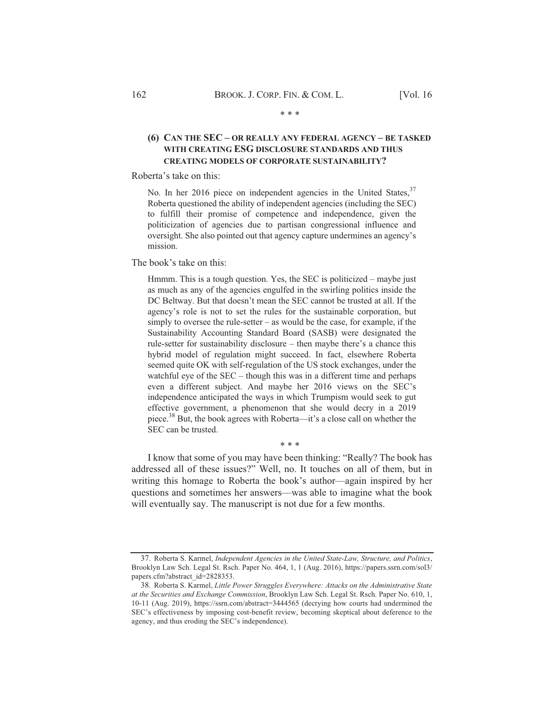#### $* * *$

# (6) CAN THE SEC - OR REALLY ANY FEDERAL AGENCY - BE TASKED WITH CREATING ESG DISCLOSURE STANDARDS AND THUS **CREATING MODELS OF CORPORATE SUSTAINABILITY?**

#### Roberta's take on this:

No. In her 2016 piece on independent agencies in the United States, <sup>37</sup> Roberta questioned the ability of independent agencies (including the SEC) to fulfill their promise of competence and independence, given the politicization of agencies due to partisan congressional influence and oversight. She also pointed out that agency capture undermines an agency's mission.

#### The book's take on this:

Hmmm. This is a tough question. Yes, the SEC is politicized – maybe just as much as any of the agencies engulfed in the swirling politics inside the DC Beltway. But that doesn't mean the SEC cannot be trusted at all. If the agency's role is not to set the rules for the sustainable corporation, but simply to oversee the rule-setter – as would be the case, for example, if the Sustainability Accounting Standard Board (SASB) were designated the rule-setter for sustainability disclosure – then maybe there's a chance this hybrid model of regulation might succeed. In fact, elsewhere Roberta seemed quite OK with self-regulation of the US stock exchanges, under the watchful eye of the  $SEC -$  though this was in a different time and perhaps even a different subject. And maybe her 2016 views on the SEC's independence anticipated the ways in which Trumpism would seek to gut effective government, a phenomenon that she would decry in a 2019 piece.<sup>38</sup> But, the book agrees with Roberta—it's a close call on whether the SEC can be trusted.

I know that some of you may have been thinking: "Really? The book has addressed all of these issues?" Well, no. It touches on all of them, but in writing this homage to Roberta the book's author—again inspired by her questions and sometimes her answers—was able to imagine what the book will eventually say. The manuscript is not due for a few months.

 $* * *$ 

<sup>37.</sup> Roberta S. Karmel, Independent Agencies in the United State-Law, Structure, and Politics, Brooklyn Law Sch. Legal St. Rsch. Paper No. 464, 1, 1 (Aug. 2016), https://papers.ssrn.com/sol3/ papers.cfm?abstract\_id=2828353.

<sup>38.</sup> Roberta S. Karmel, Little Power Struggles Everywhere: Attacks on the Administrative State at the Securities and Exchange Commission, Brooklyn Law Sch. Legal St. Rsch. Paper No. 610, 1, 10-11 (Aug. 2019), https://ssrn.com/abstract=3444565 (decrying how courts had undermined the SEC's effectiveness by imposing cost-benefit review, becoming skeptical about deference to the agency, and thus eroding the SEC's independence).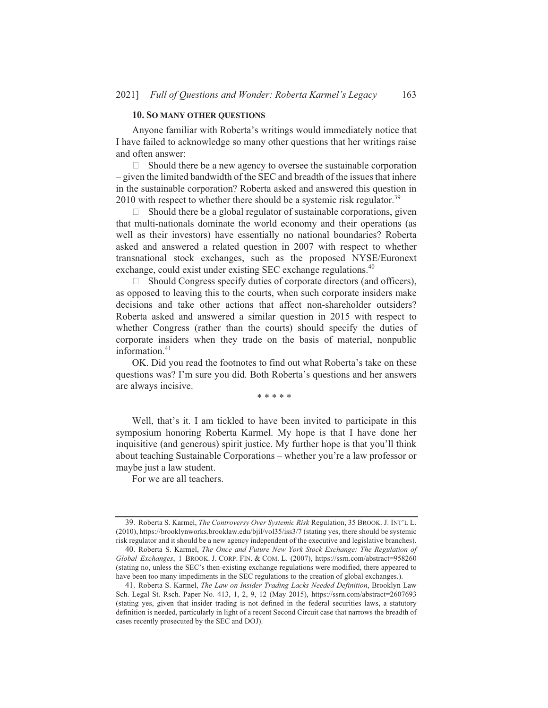#### **10. SO MANY OTHER OUESTIONS**

Anyone familiar with Roberta's writings would immediately notice that I have failed to acknowledge so many other questions that her writings raise and often answer:

 $\Box$  Should there be a new agency to oversee the sustainable corporation - given the limited bandwidth of the SEC and breadth of the issues that inhere in the sustainable corporation? Roberta asked and answered this question in 2010 with respect to whether there should be a systemic risk regulator.<sup>39</sup>

Should there be a global regulator of sustainable corporations, given  $\Box$ that multi-nationals dominate the world economy and their operations (as well as their investors) have essentially no national boundaries? Roberta asked and answered a related question in 2007 with respect to whether transnational stock exchanges, such as the proposed NYSE/Euronext exchange, could exist under existing SEC exchange regulations.<sup>40</sup>

 $\Box$  Should Congress specify duties of corporate directors (and officers), as opposed to leaving this to the courts, when such corporate insiders make decisions and take other actions that affect non-shareholder outsiders? Roberta asked and answered a similar question in 2015 with respect to whether Congress (rather than the courts) should specify the duties of corporate insiders when they trade on the basis of material, nonpublic information. $41$ 

OK. Did you read the footnotes to find out what Roberta's take on these questions was? I'm sure you did. Both Roberta's questions and her answers are always incisive.

\* \* \* \* \*

Well, that's it. I am tickled to have been invited to participate in this symposium honoring Roberta Karmel. My hope is that I have done her inquisitive (and generous) spirit justice. My further hope is that you'll think about teaching Sustainable Corporations - whether you're a law professor or maybe just a law student.

For we are all teachers.

<sup>39.</sup> Roberta S. Karmel, The Controversy Over Systemic Risk Regulation, 35 BROOK. J. INT'L L. (2010), https://brooklynworks.brooklaw.edu/bjil/vol35/iss3/7 (stating yes, there should be systemic risk regulator and it should be a new agency independent of the executive and legislative branches).

<sup>40.</sup> Roberta S. Karmel, The Once and Future New York Stock Exchange: The Regulation of Global Exchanges, 1 BROOK. J. CORP. FIN. & COM. L. (2007), https://ssrn.com/abstract=958260 (stating no, unless the SEC's then-existing exchange regulations were modified, there appeared to have been too many impediments in the SEC regulations to the creation of global exchanges.).

<sup>41.</sup> Roberta S. Karmel, The Law on Insider Trading Lacks Needed Definition, Brooklyn Law Sch. Legal St. Rsch. Paper No. 413, 1, 2, 9, 12 (May 2015), https://ssrn.com/abstract=2607693 (stating yes, given that insider trading is not defined in the federal securities laws, a statutory definition is needed, particularly in light of a recent Second Circuit case that narrows the breadth of cases recently prosecuted by the SEC and DOJ).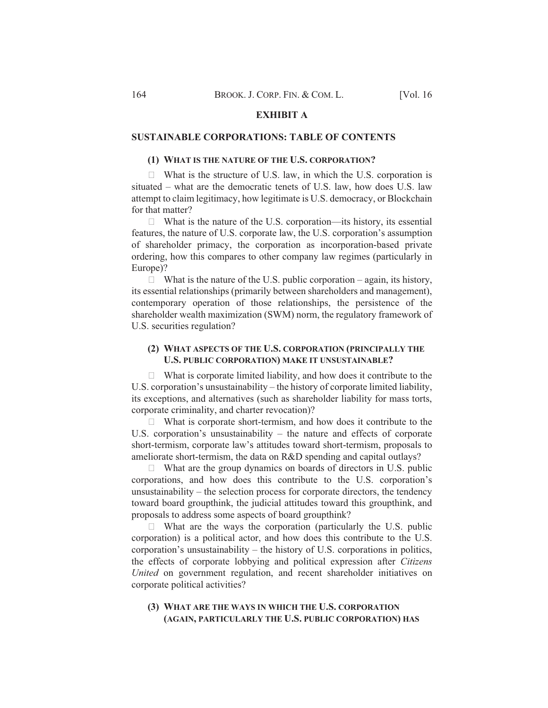### **EXHIBIT A**

## **SUSTAINABLE CORPORATIONS: TABLE OF CONTENTS**

### (1) WHAT IS THE NATURE OF THE U.S. CORPORATION?

 $\Box$  What is the structure of U.S. law, in which the U.S. corporation is situated – what are the democratic tenets of U.S. law, how does U.S. law attempt to claim legitimacy, how legitimate is U.S. democracy, or Blockchain for that matter?

 $\Box$  What is the nature of the U.S. corporation—its history, its essential features, the nature of U.S. corporate law, the U.S. corporation's assumption of shareholder primacy, the corporation as incorporation-based private ordering, how this compares to other company law regimes (particularly in Europe)?

 $\Box$  What is the nature of the U.S. public corporation – again, its history, its essential relationships (primarily between shareholders and management), contemporary operation of those relationships, the persistence of the shareholder wealth maximization (SWM) norm, the regulatory framework of U.S. securities regulation?

## (2) WHAT ASPECTS OF THE U.S. CORPORATION (PRINCIPALLY THE U.S. PUBLIC CORPORATION) MAKE IT UNSUSTAINABLE?

 $\Box$  What is corporate limited liability, and how does it contribute to the U.S. corporation's unsustainability – the history of corporate limited liability, its exceptions, and alternatives (such as shareholder liability for mass torts, corporate criminality, and charter revocation)?

 $\Box$  What is corporate short-termism, and how does it contribute to the U.S. corporation's unsustainability  $-$  the nature and effects of corporate short-termism, corporate law's attitudes toward short-termism, proposals to ameliorate short-termism, the data on R&D spending and capital outlays?

 $\Box$  What are the group dynamics on boards of directors in U.S. public corporations, and how does this contribute to the U.S. corporation's unsustainability – the selection process for corporate directors, the tendency toward board groupthink, the judicial attitudes toward this groupthink, and proposals to address some aspects of board groupthink?

 $\Box$  What are the ways the corporation (particularly the U.S. public corporation) is a political actor, and how does this contribute to the U.S. corporation's unsustainability – the history of U.S. corporations in politics, the effects of corporate lobbying and political expression after Citizens United on government regulation, and recent shareholder initiatives on corporate political activities?

### (3) WHAT ARE THE WAYS IN WHICH THE U.S. CORPORATION (AGAIN, PARTICULARLY THE U.S. PUBLIC CORPORATION) HAS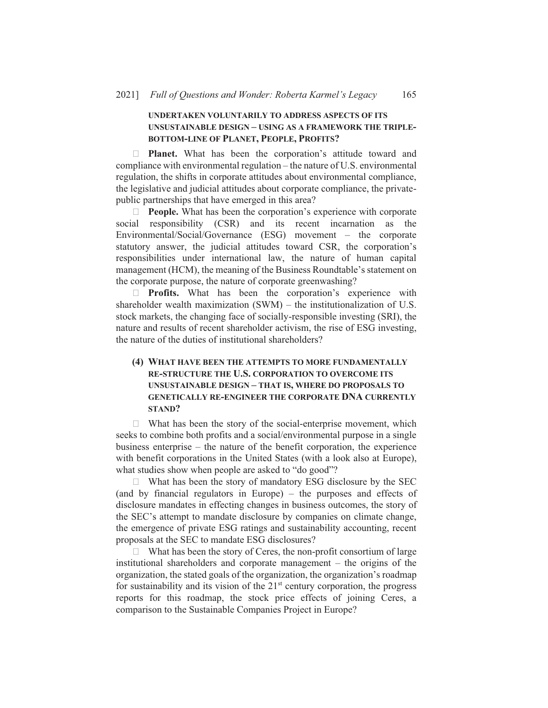# UNDERTAKEN VOLUNTARILY TO ADDRESS ASPECTS OF ITS UNSUSTAINABLE DESIGN - USING AS A FRAMEWORK THE TRIPLE-BOTTOM-LINE OF PLANET, PEOPLE, PROFITS?

 $\Box$  **Planet.** What has been the corporation's attitude toward and compliance with environmental regulation – the nature of U.S. environmental regulation, the shifts in corporate attitudes about environmental compliance, the legislative and judicial attitudes about corporate compliance, the privatepublic partnerships that have emerged in this area?

**People.** What has been the corporation's experience with corporate  $\Box$ social responsibility (CSR) and its recent incarnation as the Environmental/Social/Governance (ESG) movement – the corporate statutory answer, the judicial attitudes toward CSR, the corporation's responsibilities under international law, the nature of human capital management (HCM), the meaning of the Business Roundtable's statement on the corporate purpose, the nature of corporate greenwashing?

 $\Box$  **Profits.** What has been the corporation's experience with shareholder wealth maximization  $(SWM)$  – the institutionalization of U.S. stock markets, the changing face of socially-responsible investing (SRI), the nature and results of recent shareholder activism, the rise of ESG investing, the nature of the duties of institutional shareholders?

# (4) WHAT HAVE BEEN THE ATTEMPTS TO MORE FUNDAMENTALLY RE-STRUCTURE THE U.S. CORPORATION TO OVERCOME ITS UNSUSTAINABLE DESIGN - THAT IS, WHERE DO PROPOSALS TO **GENETICALLY RE-ENGINEER THE CORPORATE DNA CURRENTLY STAND?**

 $\Box$  What has been the story of the social-enterprise movement, which seeks to combine both profits and a social/environmental purpose in a single business enterprise  $-$  the nature of the benefit corporation, the experience with benefit corporations in the United States (with a look also at Europe), what studies show when people are asked to "do good"?

 $\Box$  What has been the story of mandatory ESG disclosure by the SEC (and by financial regulators in Europe) – the purposes and effects of disclosure mandates in effecting changes in business outcomes, the story of the SEC's attempt to mandate disclosure by companies on climate change, the emergence of private ESG ratings and sustainability accounting, recent proposals at the SEC to mandate ESG disclosures?

 $\Box$  What has been the story of Ceres, the non-profit consortium of large institutional shareholders and corporate management  $-$  the origins of the organization, the stated goals of the organization, the organization's roadmap for sustainability and its vision of the  $21<sup>st</sup>$  century corporation, the progress reports for this roadmap, the stock price effects of joining Ceres, a comparison to the Sustainable Companies Project in Europe?